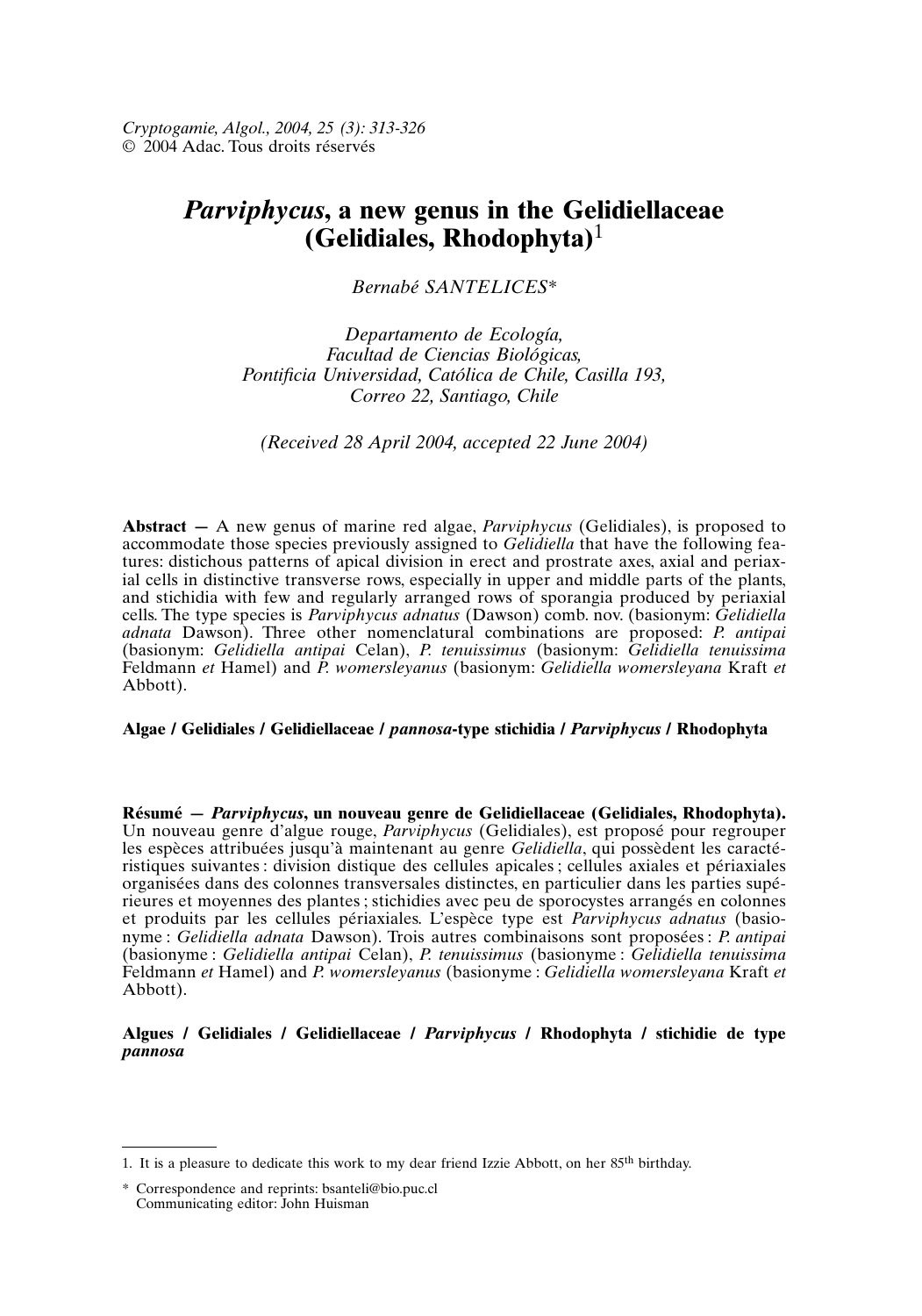# *Parviphycus***, a new genus in the Gelidiellaceae (Gelidiales, Rhodophyta)**<sup>1</sup>

*Bernabé SANTELICES\**

*Departamento de Ecología, Facultad de Ciencias Biológicas, Pontificia Universidad, Católica de Chile, Casilla 193, Correo 22, Santiago, Chile*

*(Received 28 April 2004, accepted 22 June 2004)*

**Abstract —** A new genus of marine red algae, *Parviphycus* (Gelidiales), is proposed to accommodate those species previously assigned to *Gelidiella* that have the following features: distichous patterns of apical division in erect and prostrate axes, axial and periaxial cells in distinctive transverse rows, especially in upper and middle parts of the plants, and stichidia with few and regularly arranged rows of sporangia produced by periaxial cells. The type species is *Parviphycus adnatus* (Dawson) comb. nov. (basionym: *Gelidiella adnata* Dawson). Three other nomenclatural combinations are proposed: *P. antipai* (basionym: *Gelidiella antipai* Celan), *P. tenuissimus* (basionym: *Gelidiella tenuissima* Feldmann *et* Hamel) and *P. womersleyanus* (basionym: *Gelidiella womersleyana* Kraft *et* Abbott).

# **Algae / Gelidiales / Gelidiellaceae /** *pannosa***-type stichidia /** *Parviphycus* **/ Rhodophyta**

**Résumé —** *Parviphycus***, un nouveau genre de Gelidiellaceae (Gelidiales, Rhodophyta).** Un nouveau genre d'algue rouge, *Parviphycus* (Gelidiales), est proposé pour regrouper les espèces attribuées jusqu'à maintenant au genre *Gelidiella*, qui possèdent les caractéristiques suivantes : division distique des cellules apicales ; cellules axiales et périaxiales organisées dans des colonnes transversales distinctes, en particulier dans les parties supérieures et moyennes des plantes ; stichidies avec peu de sporocystes arrangés en colonnes et produits par les cellules périaxiales. L'espèce type est *Parviphycus adnatus* (basionyme : *Gelidiella adnata* Dawson). Trois autres combinaisons sont proposées : *P. antipai* (basionyme : *Gelidiella antipai* Celan), *P. tenuissimus* (basionyme : *Gelidiella tenuissima* Feldmann *et* Hamel) and *P. womersleyanus* (basionyme : *Gelidiella womersleyana* Kraft *et* Abbott).

# **Algues / Gelidiales / Gelidiellaceae /** *Parviphycus* **/ Rhodophyta / stichidie de type** *pannosa*

<sup>1.</sup> It is a pleasure to dedicate this work to my dear friend Izzie Abbott, on her 85th birthday.

<sup>\*</sup> Correspondence and reprints: bsanteli@bio.puc.cl Communicating editor: John Huisman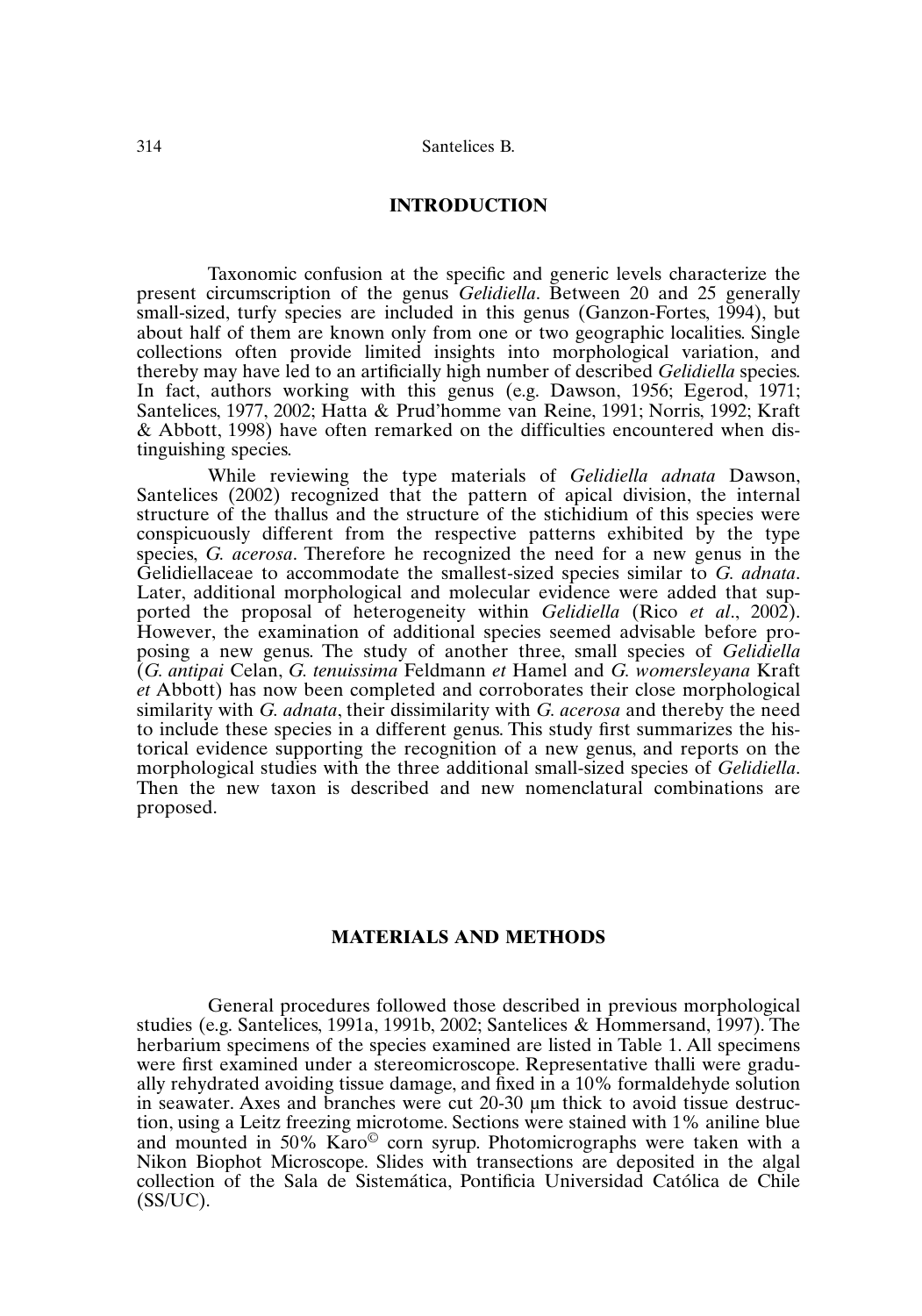# **INTRODUCTION**

Taxonomic confusion at the specific and generic levels characterize the present circumscription of the genus *Gelidiella*. Between 20 and 25 generally small-sized, turfy species are included in this genus (Ganzon-Fortes, 1994), but about half of them are known only from one or two geographic localities. Single collections often provide limited insights into morphological variation, and thereby may have led to an artificially high number of described *Gelidiella* species. In fact, authors working with this genus (e.g. Dawson, 1956; Egerod, 1971; Santelices, 1977, 2002; Hatta & Prud'homme van Reine, 1991; Norris, 1992; Kraft & Abbott, 1998) have often remarked on the difficulties encountered when distinguishing species.

While reviewing the type materials of *Gelidiella adnata* Dawson, Santelices (2002) recognized that the pattern of apical division, the internal structure of the thallus and the structure of the stichidium of this species were conspicuously different from the respective patterns exhibited by the type species, *G. acerosa*. Therefore he recognized the need for a new genus in the Gelidiellaceae to accommodate the smallest-sized species similar to *G. adnata*. Later, additional morphological and molecular evidence were added that supported the proposal of heterogeneity within *Gelidiella* (Rico *et al*., 2002). However, the examination of additional species seemed advisable before proposing a new genus. The study of another three, small species of *Gelidiella* (*G. antipai* Celan, *G. tenuissima* Feldmann *et* Hamel and *G. womersleyana* Kraft *et* Abbott) has now been completed and corroborates their close morphological similarity with *G. adnata*, their dissimilarity with *G. acerosa* and thereby the need to include these species in a different genus. This study first summarizes the historical evidence supporting the recognition of a new genus, and reports on the morphological studies with the three additional small-sized species of *Gelidiella*. Then the new taxon is described and new nomenclatural combinations are proposed.

# **MATERIALS AND METHODS**

General procedures followed those described in previous morphological studies (e.g. Santelices, 1991a, 1991b, 2002; Santelices & Hommersand, 1997). The herbarium specimens of the species examined are listed in Table 1. All specimens were first examined under a stereomicroscope. Representative thalli were gradually rehydrated avoiding tissue damage, and fixed in a 10% formaldehyde solution in seawater. Axes and branches were cut 20-30 µm thick to avoid tissue destruction, using a Leitz freezing microtome. Sections were stained with 1% aniline blue and mounted in 50% Karo© corn syrup. Photomicrographs were taken with a Nikon Biophot Microscope. Slides with transections are deposited in the algal collection of the Sala de Sistemática, Pontificia Universidad Católica de Chile  $(SS/UC)$ .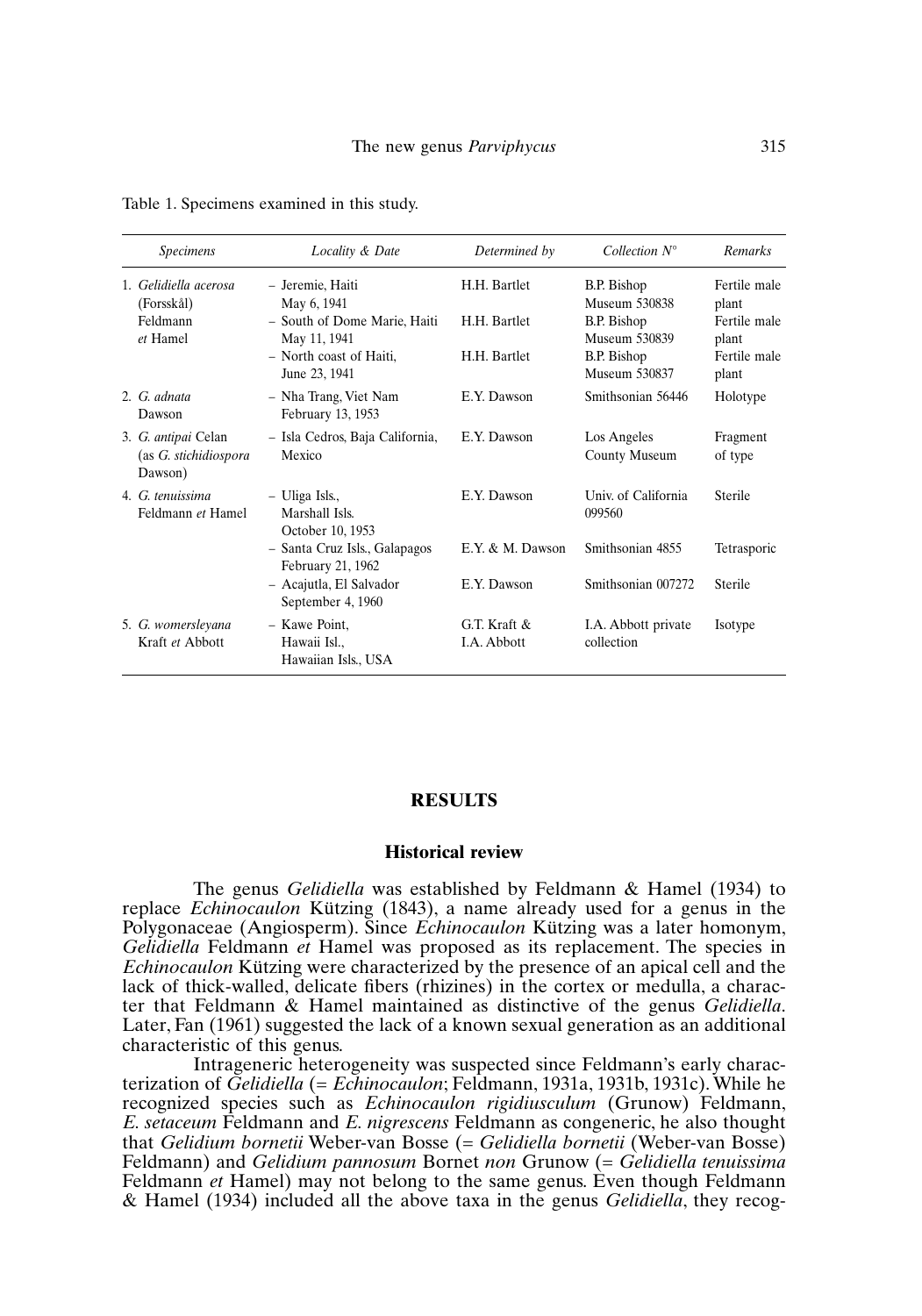|  | <b>Specimens</b>                                        | Locality & Date                                      | Determined by               | Collection N <sup>°</sup>         | <b>Remarks</b>        |
|--|---------------------------------------------------------|------------------------------------------------------|-----------------------------|-----------------------------------|-----------------------|
|  | 1. Gelidiella acerosa<br>(Forsskål)                     | - Jeremie, Haiti<br>May 6, 1941                      | H.H. Bartlet                | B.P. Bishop<br>Museum 530838      | Fertile male<br>plant |
|  | Feldmann<br>et Hamel                                    | - South of Dome Marie, Haiti<br>May 11, 1941         | H.H. Bartlet                | B.P. Bishop<br>Museum 530839      | Fertile male<br>plant |
|  |                                                         | - North coast of Haiti,<br>June 23, 1941             | H.H. Bartlet                | B.P. Bishop<br>Museum 530837      | Fertile male<br>plant |
|  | 2. G. adnata<br>Dawson                                  | - Nha Trang, Viet Nam<br>February 13, 1953           | E.Y. Dawson                 | Smithsonian 56446                 | Holotype              |
|  | 3. G. antipai Celan<br>(as G. stichidiospora<br>Dawson) | - Isla Cedros, Baja California,<br>Mexico            | E.Y. Dawson                 | Los Angeles<br>County Museum      | Fragment<br>of type   |
|  | 4. G. tenuissima<br>Feldmann et Hamel                   | - Uliga Isls.,<br>Marshall Isls.<br>October 10, 1953 | E.Y. Dawson                 | Univ. of California<br>099560     | Sterile               |
|  |                                                         | - Santa Cruz Isls., Galapagos<br>February 21, 1962   | E.Y. & M. Dawson            | Smithsonian 4855                  | Tetrasporic           |
|  |                                                         | - Acajutla, El Salvador<br>September 4, 1960         | E.Y. Dawson                 | Smithsonian 007272                | Sterile               |
|  | 5. G. womersleyana<br>Kraft et Abbott                   | - Kawe Point,<br>Hawaii Isl.,<br>Hawaiian Isls., USA | G.T. Kraft &<br>I.A. Abbott | I.A. Abbott private<br>collection | Isotype               |

Table 1. Specimens examined in this study.

# **RESULTS**

#### **Historical review**

The genus *Gelidiella* was established by Feldmann & Hamel (1934) to replace *Echinocaulon* Kützing (1843), a name already used for a genus in the Polygonaceae (Angiosperm). Since *Echinocaulon* Kützing was a later homonym, *Gelidiella* Feldmann *et* Hamel was proposed as its replacement. The species in *Echinocaulon* Kützing were characterized by the presence of an apical cell and the lack of thick-walled, delicate fibers (rhizines) in the cortex or medulla, a character that Feldmann & Hamel maintained as distinctive of the genus *Gelidiella*. Later, Fan (1961) suggested the lack of a known sexual generation as an additional characteristic of this genus.

Intrageneric heterogeneity was suspected since Feldmann's early characterization of *Gelidiella* (= *Echinocaulon*; Feldmann, 1931a, 1931b, 1931c). While he recognized species such as *Echinocaulon rigidiusculum* (Grunow) Feldmann, *E. setaceum* Feldmann and *E. nigrescens* Feldmann as congeneric, he also thought that *Gelidium bornetii* Weber-van Bosse (= *Gelidiella bornetii* (Weber-van Bosse) Feldmann) and *Gelidium pannosum* Bornet *non* Grunow (= *Gelidiella tenuissima* Feldmann *et* Hamel) may not belong to the same genus. Even though Feldmann & Hamel (1934) included all the above taxa in the genus *Gelidiella*, they recog-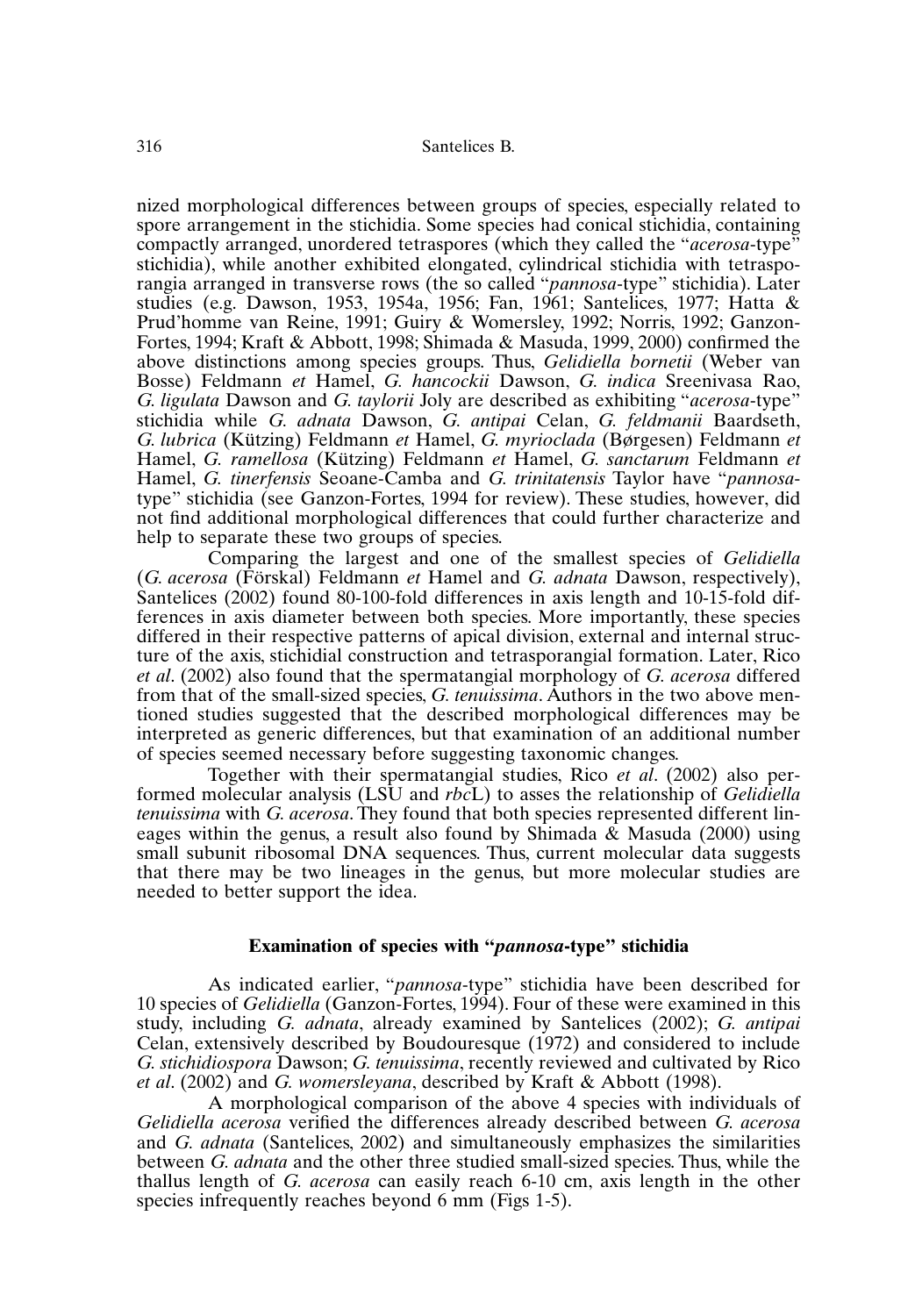nized morphological differences between groups of species, especially related to spore arrangement in the stichidia. Some species had conical stichidia, containing compactly arranged, unordered tetraspores (which they called the "*acerosa*-type" stichidia), while another exhibited elongated, cylindrical stichidia with tetrasporangia arranged in transverse rows (the so called "*pannosa*-type" stichidia). Later studies (e.g. Dawson, 1953, 1954a, 1956; Fan, 1961; Santelices, 1977; Hatta & Prud'homme van Reine, 1991; Guiry & Womersley, 1992; Norris, 1992; Ganzon-Fortes, 1994; Kraft & Abbott, 1998; Shimada & Masuda, 1999, 2000) confirmed the above distinctions among species groups. Thus, *Gelidiella bornetii* (Weber van Bosse) Feldmann *et* Hamel, *G. hancockii* Dawson, *G. indica* Sreenivasa Rao, *G. ligulata* Dawson and *G. taylorii* Joly are described as exhibiting "*acerosa*-type" stichidia while *G. adnata* Dawson, *G. antipai* Celan, *G. feldmanii* Baardseth, *G. lubrica* (Kützing) Feldmann *et* Hamel, *G. myrioclada* (Børgesen) Feldmann *et* Hamel, *G. ramellosa* (Kützing) Feldmann *et* Hamel, *G. sanctarum* Feldmann *et* Hamel, *G. tinerfensis* Seoane-Camba and *G. trinitatensis* Taylor have "*pannosa*type" stichidia (see Ganzon-Fortes, 1994 for review). These studies, however, did not find additional morphological differences that could further characterize and help to separate these two groups of species.

Comparing the largest and one of the smallest species of *Gelidiella* (*G. acerosa* (Förskal) Feldmann *et* Hamel and *G. adnata* Dawson, respectively), Santelices (2002) found 80-100-fold differences in axis length and 10-15-fold differences in axis diameter between both species. More importantly, these species differed in their respective patterns of apical division, external and internal structure of the axis, stichidial construction and tetrasporangial formation. Later, Rico *et al*. (2002) also found that the spermatangial morphology of *G. acerosa* differed from that of the small-sized species, *G. tenuissima*. Authors in the two above mentioned studies suggested that the described morphological differences may be interpreted as generic differences, but that examination of an additional number of species seemed necessary before suggesting taxonomic changes.

Together with their spermatangial studies, Rico *et al*. (2002) also performed molecular analysis (LSU and *rbc*L) to asses the relationship of *Gelidiella tenuissima* with *G. acerosa*. They found that both species represented different lineages within the genus, a result also found by Shimada & Masuda  $(2000)$  using small subunit ribosomal DNA sequences. Thus, current molecular data suggests that there may be two lineages in the genus, but more molecular studies are needed to better support the idea.

# **Examination of species with "***pannosa***-type" stichidia**

As indicated earlier, "*pannosa*-type" stichidia have been described for 10 species of *Gelidiella* (Ganzon-Fortes, 1994). Four of these were examined in this study, including *G. adnata*, already examined by Santelices (2002); *G. antipai* Celan, extensively described by Boudouresque (1972) and considered to include *G. stichidiospora* Dawson; *G. tenuissima*, recently reviewed and cultivated by Rico *et al*. (2002) and *G. womersleyana*, described by Kraft & Abbott (1998).

A morphological comparison of the above 4 species with individuals of *Gelidiella acerosa* verified the differences already described between *G. acerosa* and *G. adnata* (Santelices, 2002) and simultaneously emphasizes the similarities between *G. adnata* and the other three studied small-sized species. Thus, while the thallus length of *G. acerosa* can easily reach 6-10 cm, axis length in the other species infrequently reaches beyond 6 mm (Figs 1-5).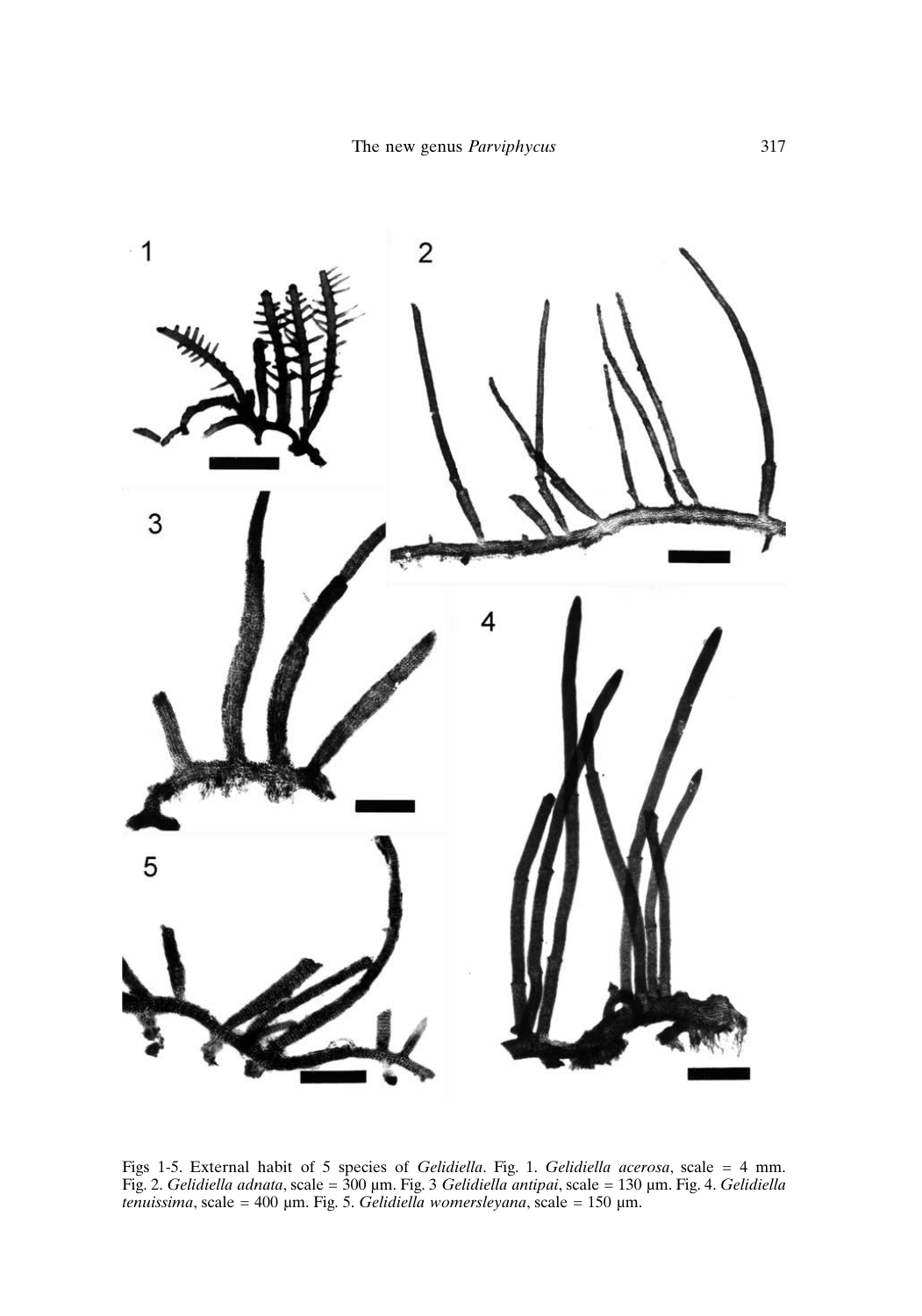

Figs 1-5. External habit of 5 species of *Gelidiella*. Fig. 1. *Gelidiella acerosa*, scale = 4 mm. Fig. 2. *Gelidiella adnata*, scale = 300 µm. Fig. 3 *Gelidiella antipai*, scale = 130 µm. Fig. 4. *Gelidiella tenuissima*, scale = 400 µm. Fig. 5. *Gelidiella womersleyana*, scale = 150 µm.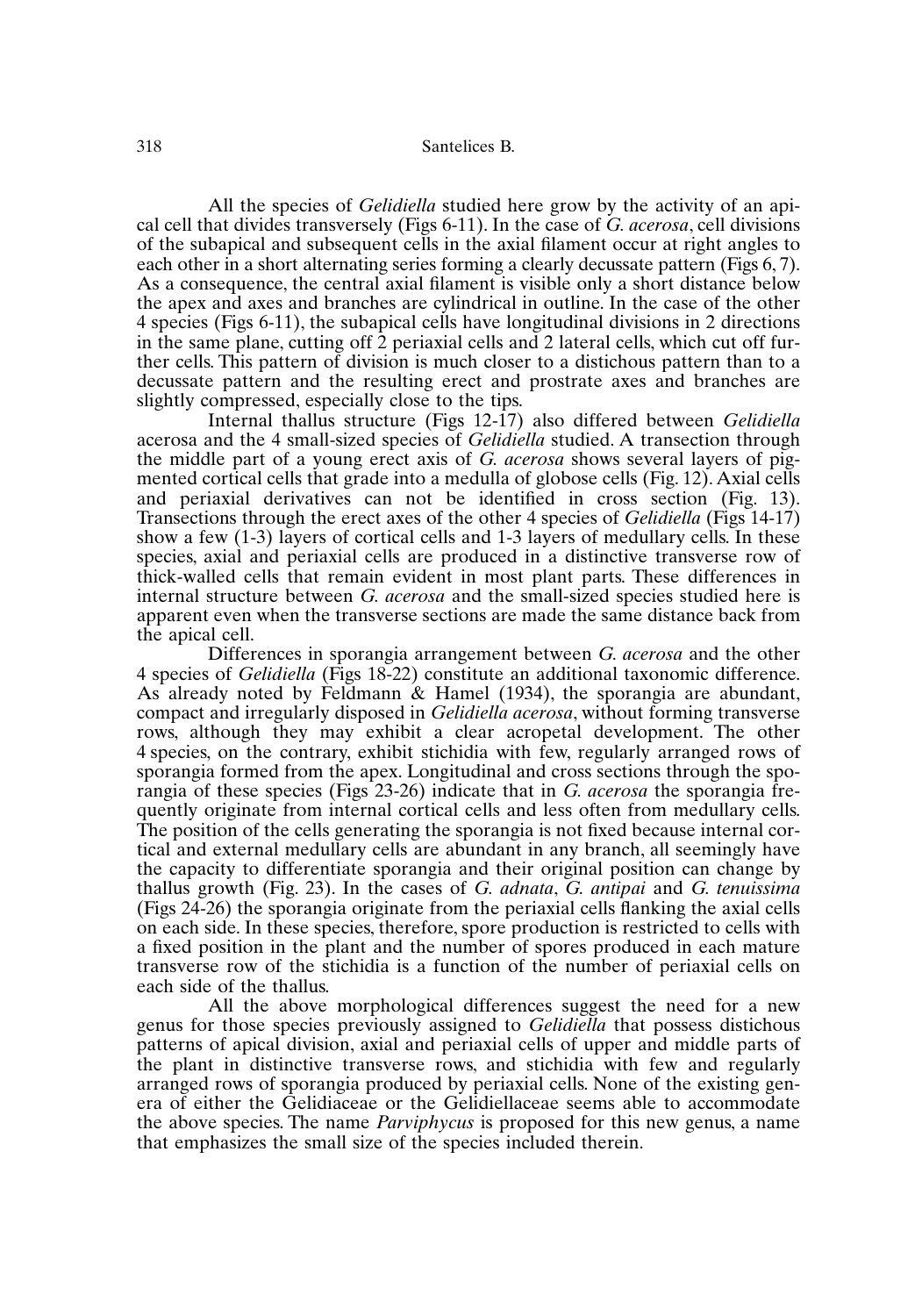# 318 Santelices B.

All the species of *Gelidiella* studied here grow by the activity of an apical cell that divides transversely (Figs 6-11). In the case of *G. acerosa*, cell divisions of the subapical and subsequent cells in the axial filament occur at right angles to each other in a short alternating series forming a clearly decussate pattern (Figs 6, 7). As a consequence, the central axial filament is visible only a short distance below the apex and axes and branches are cylindrical in outline. In the case of the other 4 species (Figs 6-11), the subapical cells have longitudinal divisions in 2 directions in the same plane, cutting off 2 periaxial cells and 2 lateral cells, which cut off further cells. This pattern of division is much closer to a distichous pattern than to a decussate pattern and the resulting erect and prostrate axes and branches are slightly compressed, especially close to the tips.

Internal thallus structure (Figs 12-17) also differed between *Gelidiella* acerosa and the 4 small-sized species of *Gelidiella* studied. A transection through the middle part of a young erect axis of *G. acerosa* shows several layers of pigmented cortical cells that grade into a medulla of globose cells (Fig. 12). Axial cells and periaxial derivatives can not be identified in cross section (Fig. 13). Transections through the erect axes of the other 4 species of *Gelidiella* (Figs 14-17) show a few (1-3) layers of cortical cells and 1-3 layers of medullary cells. In these species, axial and periaxial cells are produced in a distinctive transverse row of thick-walled cells that remain evident in most plant parts. These differences in internal structure between *G. acerosa* and the small-sized species studied here is apparent even when the transverse sections are made the same distance back from the apical cell.

Differences in sporangia arrangement between *G. acerosa* and the other 4 species of *Gelidiella* (Figs 18-22) constitute an additional taxonomic difference. As already noted by Feldmann & Hamel (1934), the sporangia are abundant, compact and irregularly disposed in *Gelidiella acerosa*, without forming transverse rows, although they may exhibit a clear acropetal development. The other 4 species, on the contrary, exhibit stichidia with few, regularly arranged rows of sporangia formed from the apex. Longitudinal and cross sections through the sporangia of these species (Figs 23-26) indicate that in *G. acerosa* the sporangia frequently originate from internal cortical cells and less often from medullary cells. The position of the cells generating the sporangia is not fixed because internal cortical and external medullary cells are abundant in any branch, all seemingly have the capacity to differentiate sporangia and their original position can change by thallus growth (Fig. 23). In the cases of *G. adnata*, *G. antipai* and *G. tenuissima* (Figs 24-26) the sporangia originate from the periaxial cells flanking the axial cells on each side. In these species, therefore, spore production is restricted to cells with a fixed position in the plant and the number of spores produced in each mature transverse row of the stichidia is a function of the number of periaxial cells on each side of the thallus.

All the above morphological differences suggest the need for a new genus for those species previously assigned to *Gelidiella* that possess distichous patterns of apical division, axial and periaxial cells of upper and middle parts of the plant in distinctive transverse rows, and stichidia with few and regularly arranged rows of sporangia produced by periaxial cells. None of the existing genera of either the Gelidiaceae or the Gelidiellaceae seems able to accommodate the above species. The name *Parviphycus* is proposed for this new genus, a name that emphasizes the small size of the species included therein.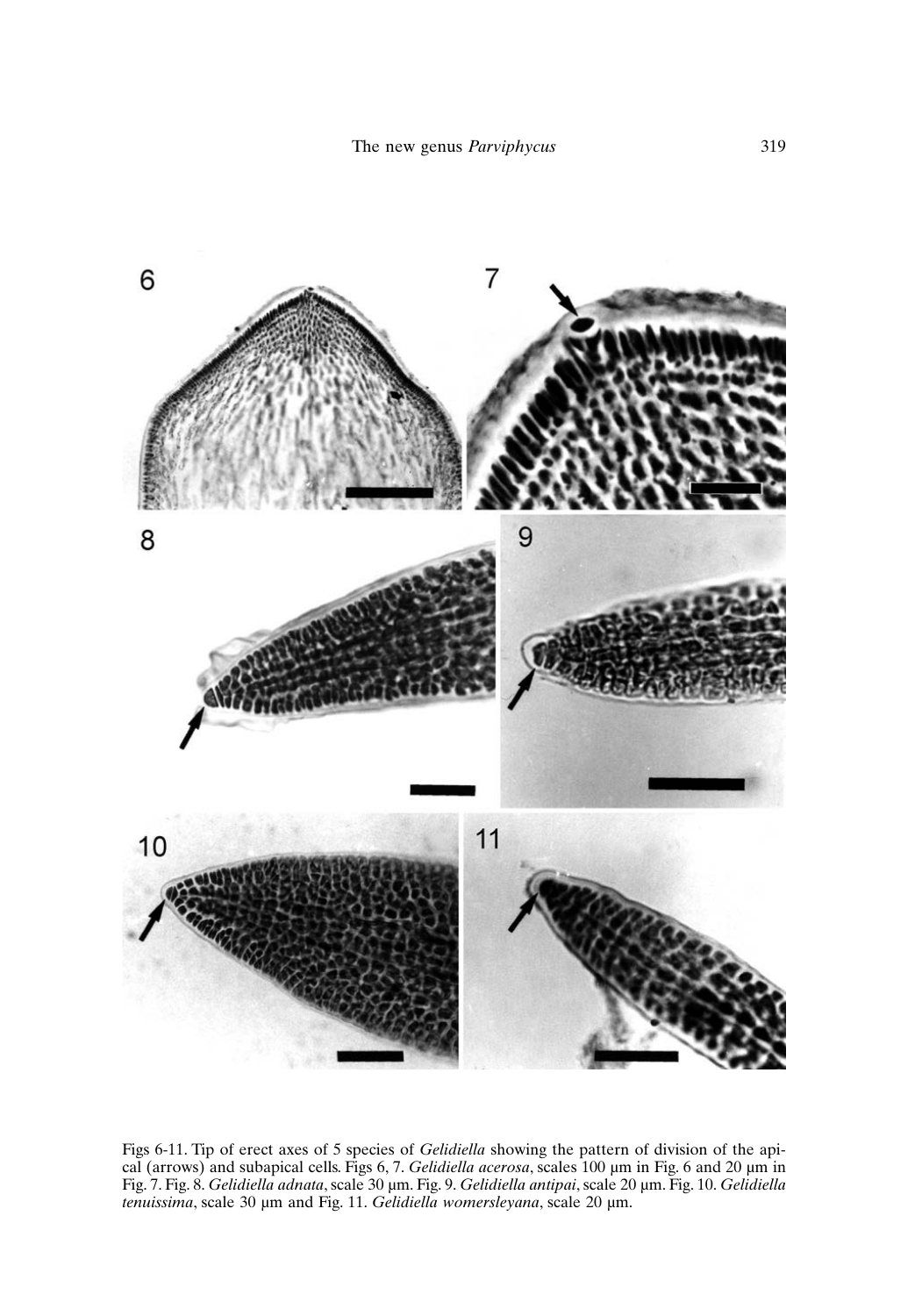

Figs 6-11. Tip of erect axes of 5 species of *Gelidiella* showing the pattern of division of the apical (arrows) and subapical cells. Figs 6, 7. *Gelidiella acerosa*, scales 100 µm in Fig. 6 and 20 µm in Fig. 7. Fig. 8. *Gelidiella adnata*, scale 30 µm. Fig. 9. *Gelidiella antipai*, scale 20 µm. Fig. 10. *Gelidiella tenuissima*, scale 30 µm and Fig. 11. *Gelidiella womersleyana*, scale 20 µm.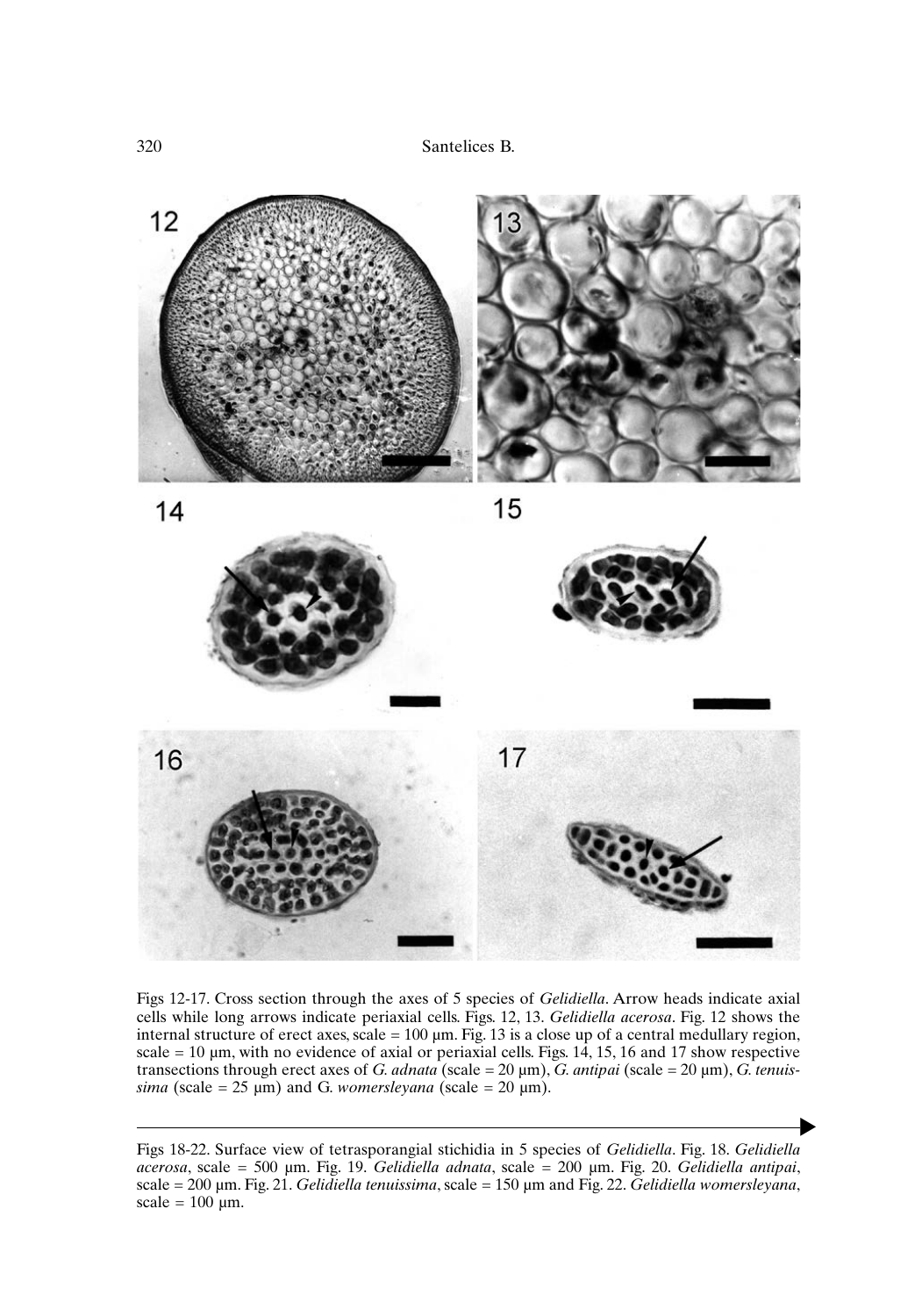

 $14$ 

15



Figs 12-17. Cross section through the axes of 5 species of *Gelidiella*. Arrow heads indicate axial cells while long arrows indicate periaxial cells. Figs. 12, 13. *Gelidiella acerosa*. Fig. 12 shows the internal structure of erect axes, scale =  $100 \mu m$ . Fig. 13 is a close up of a central medullary region, scale = 10  $\mu$ m, with no evidence of axial or periaxial cells. Figs. 14, 15, 16 and 17 show respective transections through erect axes of *G. adnata* (scale = 20 µm), *G. antipai* (scale = 20 µm), *G. tenuis* $sima$  (scale = 25  $\mu$ m) and G. *womersleyana* (scale = 20  $\mu$ m).

Figs 18-22. Surface view of tetrasporangial stichidia in 5 species of *Gelidiella*. Fig. 18. *Gelidiella acerosa*, scale = 500 µm. Fig. 19. *Gelidiella adnata*, scale = 200 µm. Fig. 20. *Gelidiella antipai*, scale = 200 µm. Fig. 21. *Gelidiella tenuissima*, scale = 150 µm and Fig. 22. *Gelidiella womersleyana*, scale =  $100 \mu m$ .

▲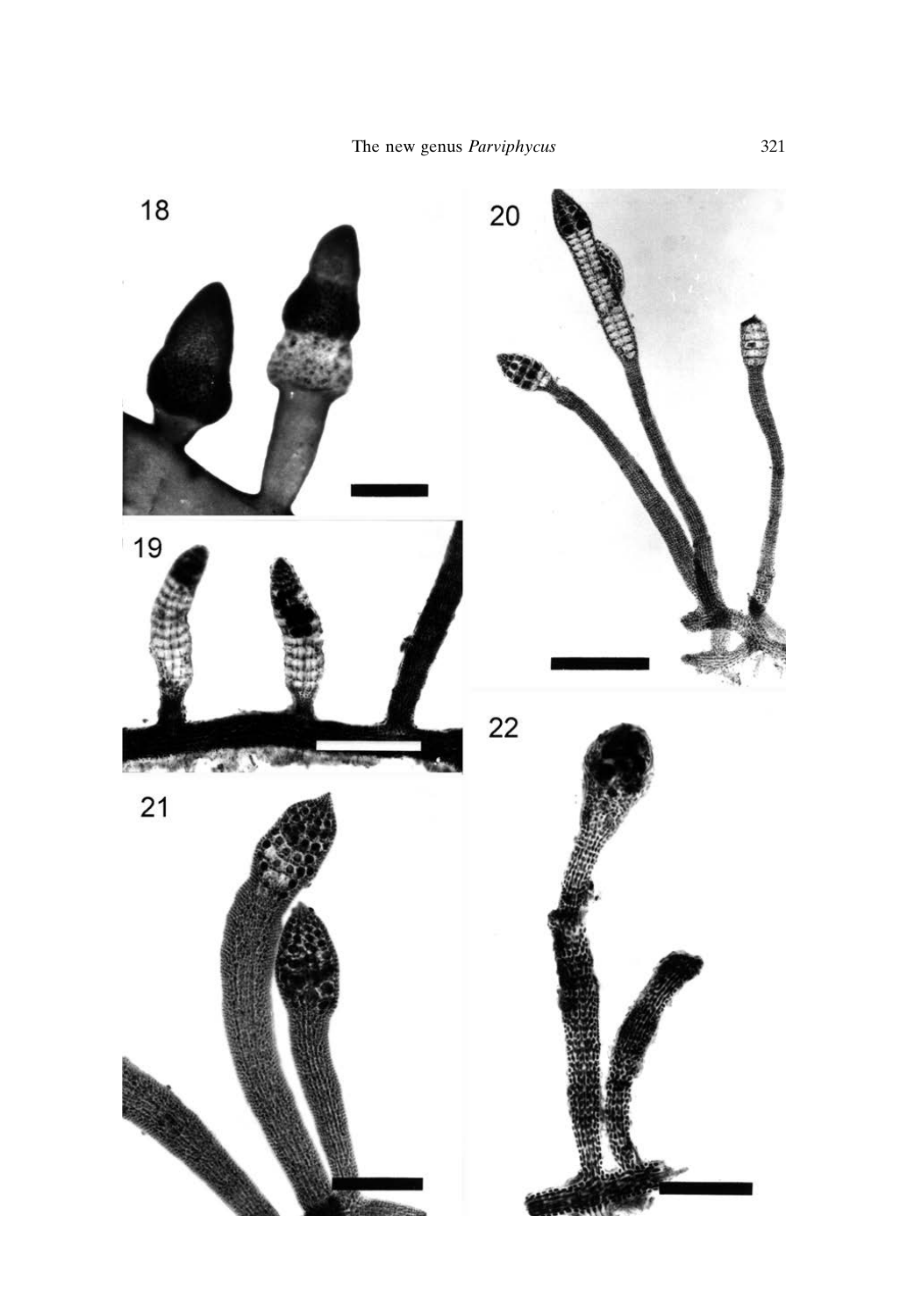![](_page_8_Picture_1.jpeg)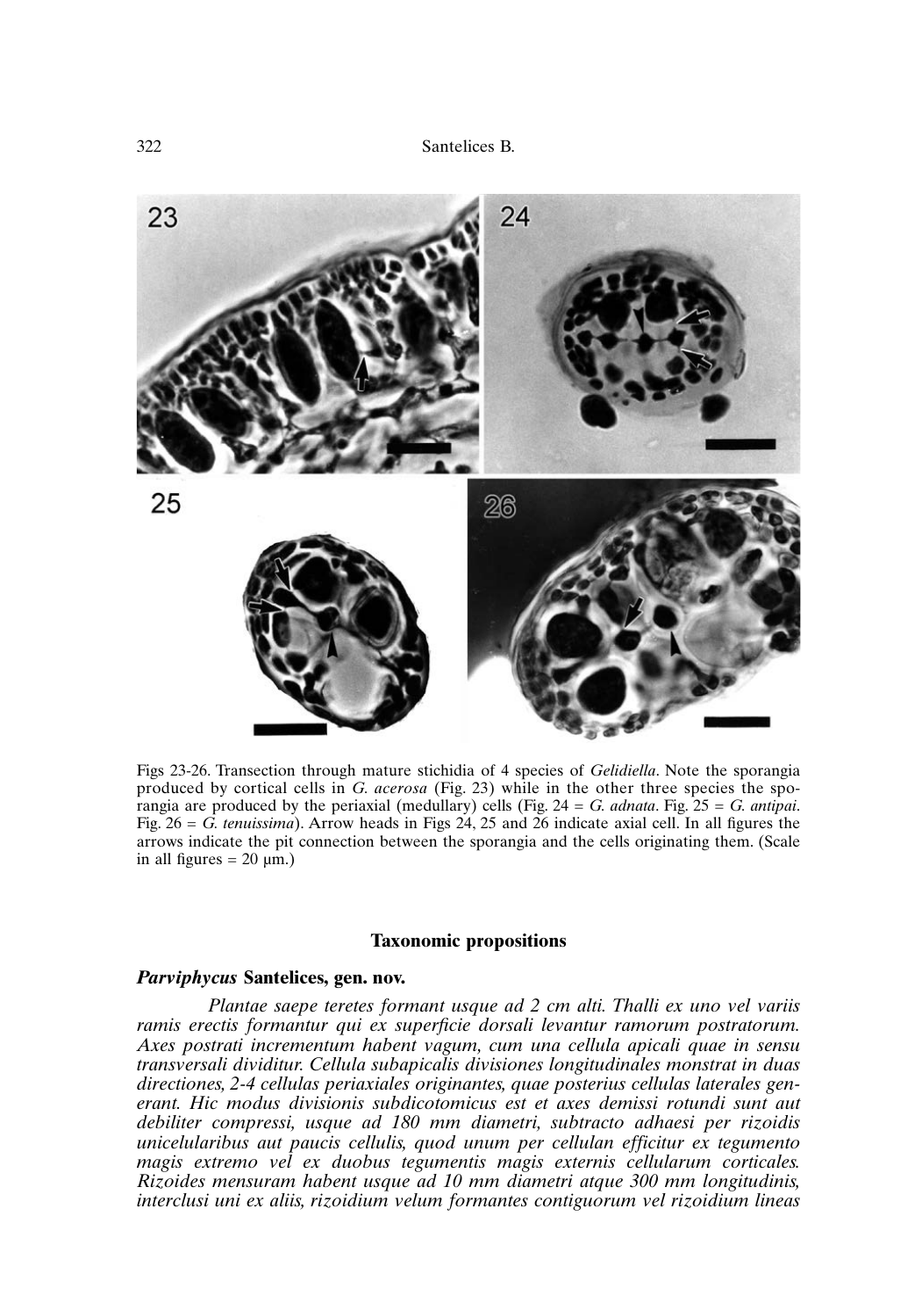![](_page_9_Picture_1.jpeg)

Figs 23-26. Transection through mature stichidia of 4 species of *Gelidiella*. Note the sporangia produced by cortical cells in *G. acerosa* (Fig. 23) while in the other three species the sporangia are produced by the periaxial (medullary) cells (Fig. 24 = *G. adnata*. Fig. 25 = *G. antipai*. Fig. 26 = *G. tenuissima*). Arrow heads in Figs 24, 25 and 26 indicate axial cell. In all figures the arrows indicate the pit connection between the sporangia and the cells originating them. (Scale in all figures  $= 20 \mu m$ .)

#### **Taxonomic propositions**

# *Parviphycus* **Santelices, gen. nov.**

*Plantae saepe teretes formant usque ad 2 cm alti. Thalli ex uno vel variis ramis erectis formantur qui ex superficie dorsali levantur ramorum postratorum. Axes postrati incrementum habent vagum, cum una cellula apicali quae in sensu transversali dividitur. Cellula subapicalis divisiones longitudinales monstrat in duas directiones, 2-4 cellulas periaxiales originantes, quae posterius cellulas laterales generant. Hic modus divisionis subdicotomicus est et axes demissi rotundi sunt aut debiliter compressi, usque ad 180 mm diametri, subtracto adhaesi per rizoidis unicelularibus aut paucis cellulis, quod unum per cellulan efficitur ex tegumento magis extremo vel ex duobus tegumentis magis externis cellularum corticales. Rizoides mensuram habent usque ad 10 mm diametri atque 300 mm longitudinis, interclusi uni ex aliis, rizoidium velum formantes contiguorum vel rizoidium lineas*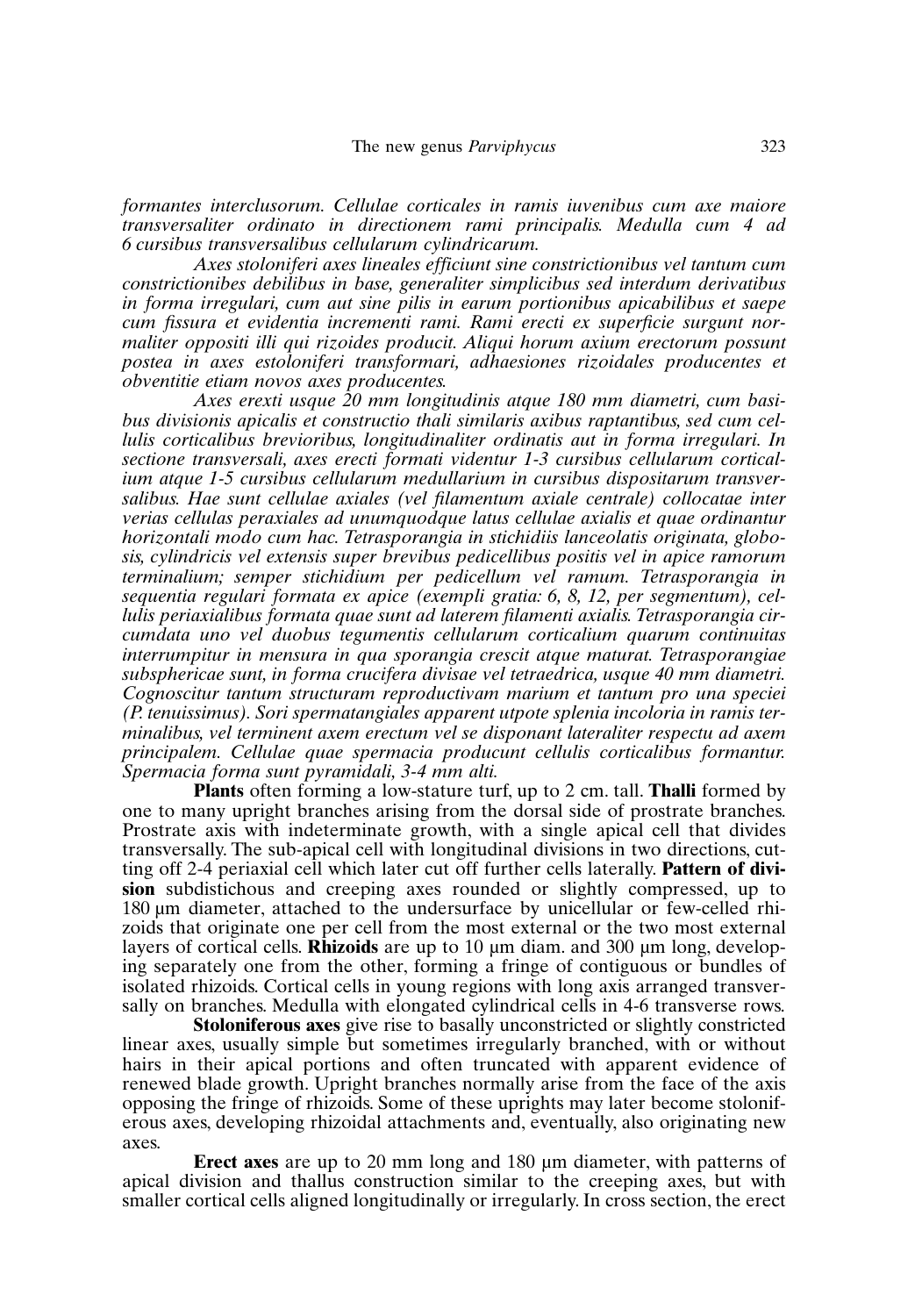*formantes interclusorum. Cellulae corticales in ramis iuvenibus cum axe maiore transversaliter ordinato in directionem rami principalis. Medulla cum 4 ad 6 cursibus transversalibus cellularum cylindricarum.*

*Axes stoloniferi axes lineales efficiunt sine constrictionibus vel tantum cum constrictionibes debilibus in base, generaliter simplicibus sed interdum derivatibus in forma irregulari, cum aut sine pilis in earum portionibus apicabilibus et saepe cum fissura et evidentia incrementi rami. Rami erecti ex superficie surgunt normaliter oppositi illi qui rizoides producit. Aliqui horum axium erectorum possunt postea in axes estoloniferi transformari, adhaesiones rizoidales producentes et obventitie etiam novos axes producentes.*

*Axes erexti usque 20 mm longitudinis atque 180 mm diametri, cum basibus divisionis apicalis et constructio thali similaris axibus raptantibus, sed cum cellulis corticalibus brevioribus, longitudinaliter ordinatis aut in forma irregulari. In sectione transversali, axes erecti formati videntur 1-3 cursibus cellularum corticalium atque 1-5 cursibus cellularum medullarium in cursibus dispositarum transversalibus. Hae sunt cellulae axiales (vel filamentum axiale centrale) collocatae inter verias cellulas peraxiales ad unumquodque latus cellulae axialis et quae ordinantur horizontali modo cum hac. Tetrasporangia in stichidiis lanceolatis originata, globosis, cylindricis vel extensis super brevibus pedicellibus positis vel in apice ramorum terminalium; semper stichidium per pedicellum vel ramum. Tetrasporangia in sequentia regulari formata ex apice (exempli gratia: 6, 8, 12, per segmentum), cellulis periaxialibus formata quae sunt ad laterem filamenti axialis. Tetrasporangia circumdata uno vel duobus tegumentis cellularum corticalium quarum continuitas interrumpitur in mensura in qua sporangia crescit atque maturat. Tetrasporangiae subsphericae sunt, in forma crucifera divisae vel tetraedrica, usque 40 mm diametri. Cognoscitur tantum structuram reproductivam marium et tantum pro una speciei (P. tenuissimus). Sori spermatangiales apparent utpote splenia incoloria in ramis terminalibus, vel terminent axem erectum vel se disponant lateraliter respectu ad axem principalem. Cellulae quae spermacia producunt cellulis corticalibus formantur. Spermacia forma sunt pyramidali, 3-4 mm alti.*

**Plants** often forming a low-stature turf, up to 2 cm. tall. **Thalli** formed by one to many upright branches arising from the dorsal side of prostrate branches. Prostrate axis with indeterminate growth, with a single apical cell that divides transversally. The sub-apical cell with longitudinal divisions in two directions, cutting off 2-4 periaxial cell which later cut off further cells laterally. **Pattern of division** subdistichous and creeping axes rounded or slightly compressed, up to 180 µm diameter, attached to the undersurface by unicellular or few-celled rhizoids that originate one per cell from the most external or the two most external layers of cortical cells. **Rhizoids** are up to 10 µm diam. and 300 µm long, developing separately one from the other, forming a fringe of contiguous or bundles of isolated rhizoids. Cortical cells in young regions with long axis arranged transversally on branches. Medulla with elongated cylindrical cells in 4-6 transverse rows.

**Stoloniferous axes** give rise to basally unconstricted or slightly constricted linear axes, usually simple but sometimes irregularly branched, with or without hairs in their apical portions and often truncated with apparent evidence of renewed blade growth. Upright branches normally arise from the face of the axis opposing the fringe of rhizoids. Some of these uprights may later become stoloniferous axes, developing rhizoidal attachments and, eventually, also originating new axes.

**Erect axes** are up to 20 mm long and 180 µm diameter, with patterns of apical division and thallus construction similar to the creeping axes, but with smaller cortical cells aligned longitudinally or irregularly. In cross section, the erect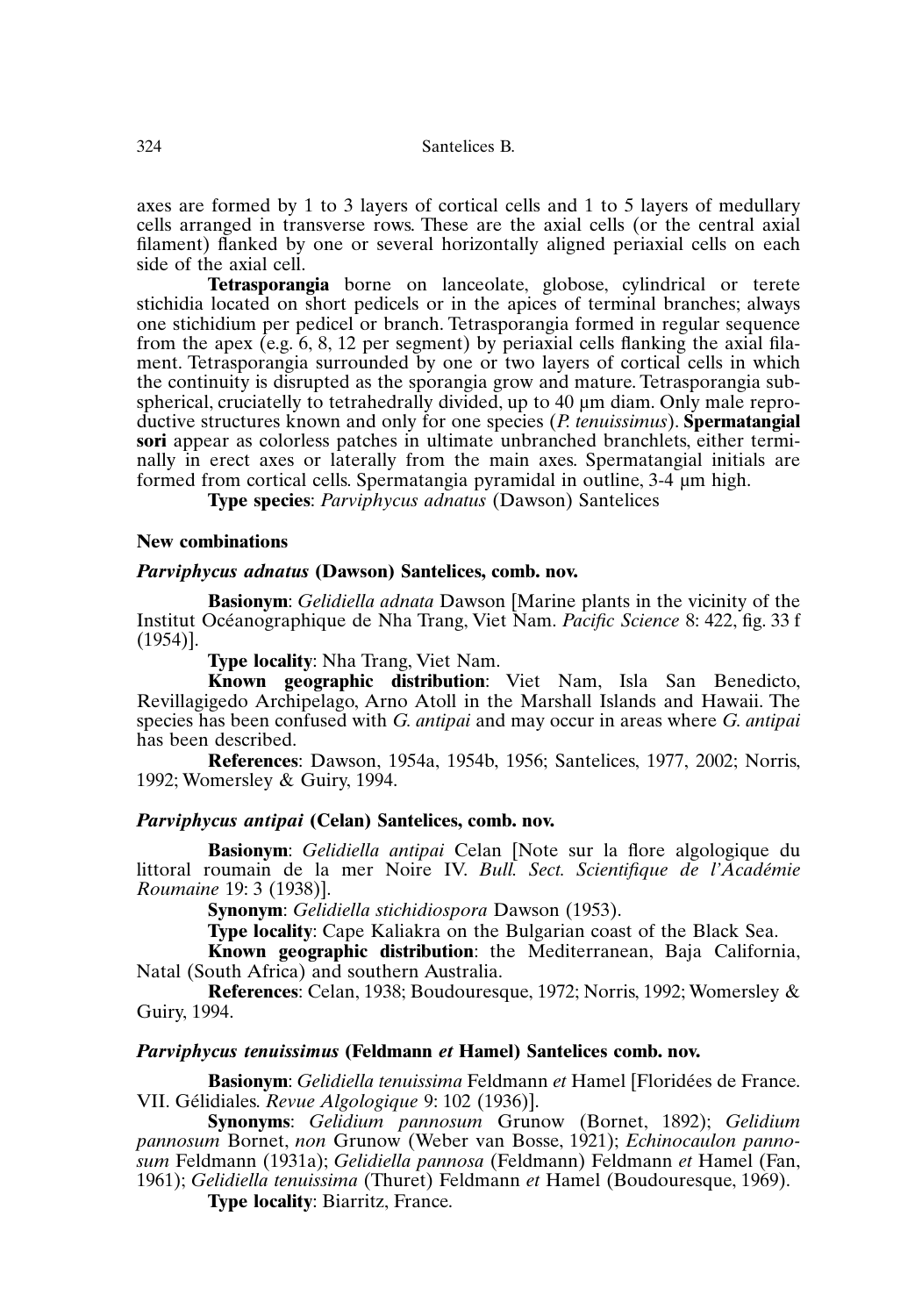axes are formed by 1 to 3 layers of cortical cells and 1 to 5 layers of medullary cells arranged in transverse rows. These are the axial cells (or the central axial filament) flanked by one or several horizontally aligned periaxial cells on each side of the axial cell.

**Tetrasporangia** borne on lanceolate, globose, cylindrical or terete stichidia located on short pedicels or in the apices of terminal branches; always one stichidium per pedicel or branch. Tetrasporangia formed in regular sequence from the apex (e.g. 6, 8, 12 per segment) by periaxial cells flanking the axial filament. Tetrasporangia surrounded by one or two layers of cortical cells in which the continuity is disrupted as the sporangia grow and mature. Tetrasporangia subspherical, cruciatelly to tetrahedrally divided, up to 40 µm diam. Only male reproductive structures known and only for one species (*P. tenuissimus*). **Spermatangial sori** appear as colorless patches in ultimate unbranched branchlets, either terminally in erect axes or laterally from the main axes. Spermatangial initials are formed from cortical cells. Spermatangia pyramidal in outline, 3-4 µm high.

**Type species**: *Parviphycus adnatus* (Dawson) Santelices

## **New combinations**

#### *Parviphycus adnatus* **(Dawson) Santelices, comb. nov.**

**Basionym**: *Gelidiella adnata* Dawson [Marine plants in the vicinity of the Institut Océanographique de Nha Trang, Viet Nam. *Pacific Science* 8: 422, fig. 33 f (1954)].

**Type locality**: Nha Trang, Viet Nam.

**Known geographic distribution**: Viet Nam, Isla San Benedicto, Revillagigedo Archipelago, Arno Atoll in the Marshall Islands and Hawaii. The species has been confused with *G. antipai* and may occur in areas where *G. antipai* has been described.

**References**: Dawson, 1954a, 1954b, 1956; Santelices, 1977, 2002; Norris, 1992; Womersley & Guiry, 1994.

# *Parviphycus antipai* **(Celan) Santelices, comb. nov.**

**Basionym**: *Gelidiella antipai* Celan [Note sur la flore algologique du littoral roumain de la mer Noire IV. *Bull. Sect. Scientifique de l'Académie Roumaine* 19: 3 (1938)].

**Synonym**: *Gelidiella stichidiospora* Dawson (1953).

**Type locality**: Cape Kaliakra on the Bulgarian coast of the Black Sea.

**Known geographic distribution**: the Mediterranean, Baja California, Natal (South Africa) and southern Australia.

**References**: Celan, 1938; Boudouresque, 1972; Norris, 1992; Womersley & Guiry, 1994.

#### *Parviphycus tenuissimus* **(Feldmann** *et* **Hamel) Santelices comb. nov.**

**Basionym**: *Gelidiella tenuissima* Feldmann *et* Hamel [Floridées de France. VII. Gélidiales. *Revue Algologique* 9: 102 (1936)].

**Synonyms**: *Gelidium pannosum* Grunow (Bornet, 1892); *Gelidium pannosum* Bornet, *non* Grunow (Weber van Bosse, 1921); *Echinocaulon pannosum* Feldmann (1931a); *Gelidiella pannosa* (Feldmann) Feldmann *et* Hamel (Fan, 1961); *Gelidiella tenuissima* (Thuret) Feldmann *et* Hamel (Boudouresque, 1969).

**Type locality**: Biarritz, France.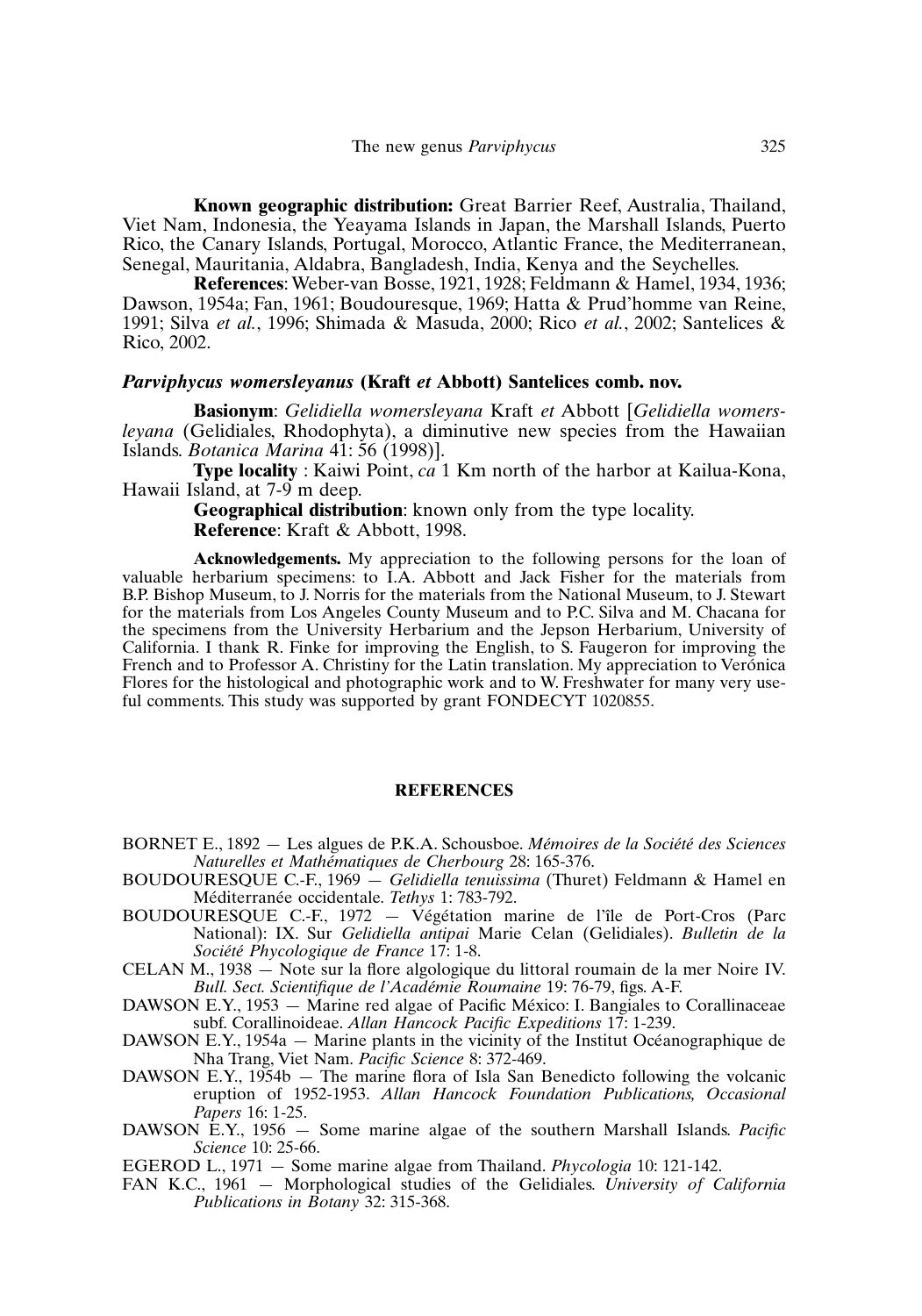**Known geographic distribution:** Great Barrier Reef, Australia, Thailand, Viet Nam, Indonesia, the Yeayama Islands in Japan, the Marshall Islands, Puerto Rico, the Canary Islands, Portugal, Morocco, Atlantic France, the Mediterranean, Senegal, Mauritania, Aldabra, Bangladesh, India, Kenya and the Seychelles.

**References**: Weber-van Bosse, 1921, 1928; Feldmann & Hamel, 1934, 1936; Dawson, 1954a; Fan, 1961; Boudouresque, 1969; Hatta & Prud'homme van Reine, 1991; Silva *et al.*, 1996; Shimada & Masuda, 2000; Rico *et al.*, 2002; Santelices & Rico, 2002.

#### *Parviphycus womersleyanus* **(Kraft** *et* **Abbott) Santelices comb. nov.**

**Basionym**: *Gelidiella womersleyana* Kraft *et* Abbott [*Gelidiella womersleyana* (Gelidiales, Rhodophyta), a diminutive new species from the Hawaiian Islands. *Botanica Marina* 41: 56 (1998)].

**Type locality** : Kaiwi Point, *ca* 1 Km north of the harbor at Kailua-Kona, Hawaii Island, at 7-9 m deep.

> **Geographical distribution**: known only from the type locality. **Reference**: Kraft & Abbott, 1998.

**Acknowledgements.** My appreciation to the following persons for the loan of valuable herbarium specimens: to I.A. Abbott and Jack Fisher for the materials from B.P. Bishop Museum, to J. Norris for the materials from the National Museum, to J. Stewart for the materials from Los Angeles County Museum and to P.C. Silva and M. Chacana for the specimens from the University Herbarium and the Jepson Herbarium, University of California. I thank R. Finke for improving the English, to S. Faugeron for improving the French and to Professor A. Christiny for the Latin translation. My appreciation to Verónica Flores for the histological and photographic work and to W. Freshwater for many very useful comments. This study was supported by grant FONDECYT 1020855.

#### **REFERENCES**

- BORNET E., 1892 Les algues de P.K.A. Schousboe. *Mémoires de la Société des Sciences Naturelles et Mathématiques de Cherbourg* 28: 165-376.
- BOUDOURESQUE C.-F., 1969 *Gelidiella tenuissima* (Thuret) Feldmann & Hamel en Méditerranée occidentale. *Tethys* 1: 783-792.
- BOUDOURESQUE C.-F., 1972 Végétation marine de l'île de Port-Cros (Parc National): IX. Sur *Gelidiella antipai* Marie Celan (Gelidiales). *Bulletin de la Société Phycologique de France* 17: 1-8.
- CELAN M., 1938 Note sur la flore algologique du littoral roumain de la mer Noire IV. *Bull. Sect. Scientifique de l'Académie Roumaine* 19: 76-79, figs. A-F.
- DAWSON E.Y., 1953 Marine red algae of Pacific México: I. Bangiales to Corallinaceae subf. Corallinoideae. *Allan Hancock Pacific Expeditions* 17: 1-239.
- DAWSON E.Y., 1954a Marine plants in the vicinity of the Institut Océanographique de Nha Trang, Viet Nam. *Pacific Science* 8: 372-469.
- DAWSON E.Y., 1954b The marine flora of Isla San Benedicto following the volcanic eruption of 1952-1953. *Allan Hancock Foundation Publications, Occasional Papers* 16: 1-25.
- DAWSON E.Y., 1956 Some marine algae of the southern Marshall Islands. *Pacific Science* 10: 25-66.
- EGEROD L., 1971 Some marine algae from Thailand. *Phycologia* 10: 121-142.
- FAN K.C., 1961 Morphological studies of the Gelidiales. *University of California Publications in Botany* 32: 315-368.